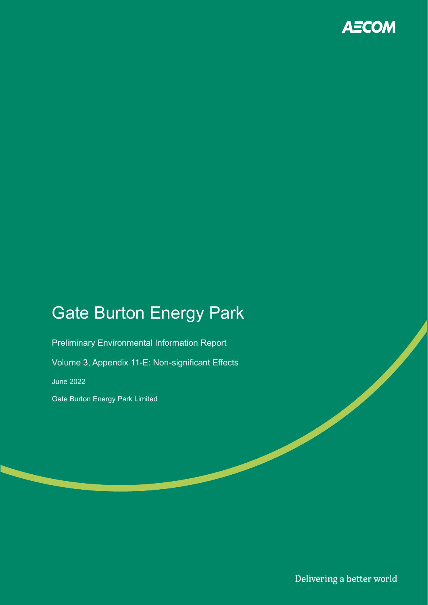

# Gate Burton Energy Park

Preliminary Environmental Information Report Volume 3, Appendix 11-E: Non-significant Effects June 2022 Gate Burton Energy Park Limited

Delivering a better world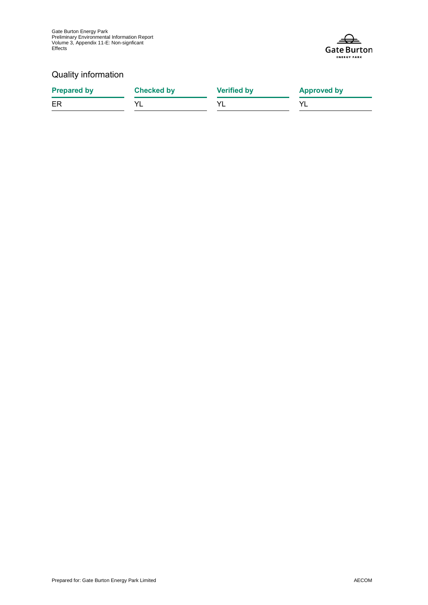Gate Burton Energy Park Preliminary Environmental Information Report Volume 3, Appendix 11-E: Non-signficant Effects



### Quality information

| <b>Prepared by</b> | <b>Checked by</b> | <b>Verified by</b> | <b>Approved by</b> |
|--------------------|-------------------|--------------------|--------------------|
| ER                 |                   |                    |                    |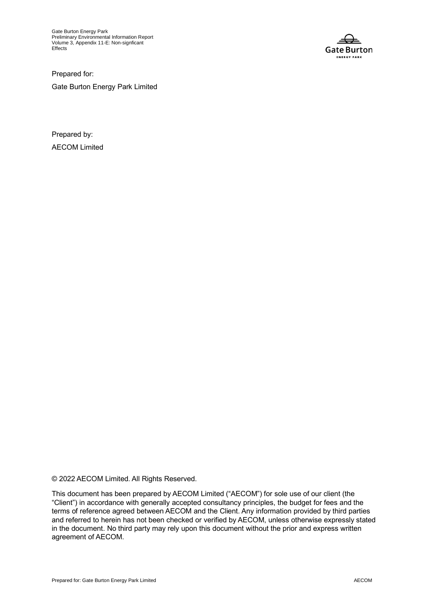Gate Burton Energy Park Preliminary Environmental Information Report Volume 3, Appendix 11-E: Non-signficant Effects



Prepared for: Gate Burton Energy Park Limited

Prepared by: AECOM Limited

© 2022 AECOM Limited. All Rights Reserved.

This document has been prepared by AECOM Limited ("AECOM") for sole use of our client (the "Client") in accordance with generally accepted consultancy principles, the budget for fees and the terms of reference agreed between AECOM and the Client. Any information provided by third parties and referred to herein has not been checked or verified by AECOM, unless otherwise expressly stated in the document. No third party may rely upon this document without the prior and express written agreement of AECOM.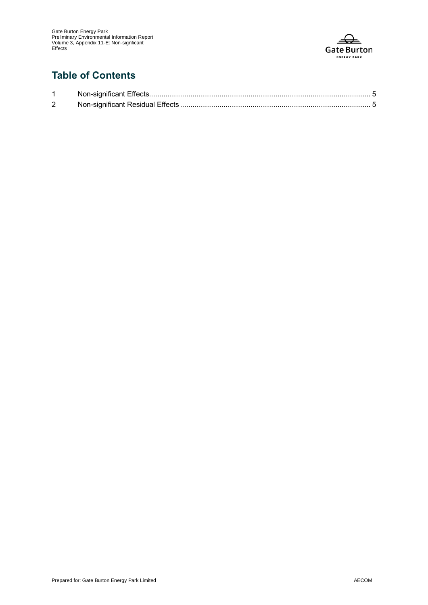

### **Table of Contents**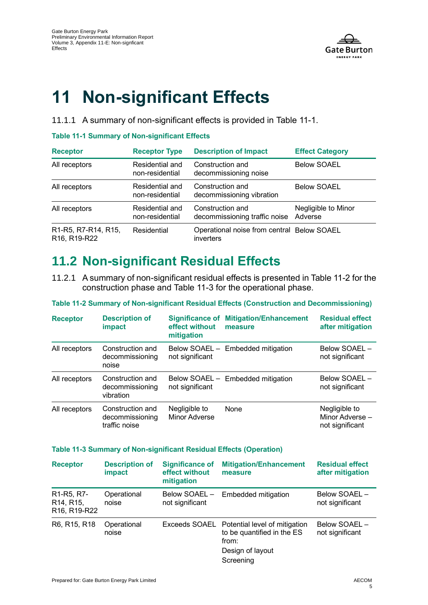

# **11 Non-significant Effects**

11.1.1 A summary of non-significant effects is provided in [Table 11-1.](#page-4-0)

#### <span id="page-4-0"></span>**Table 11-1 Summary of Non-significant Effects**

| <b>Receptor</b>                                                           | <b>Receptor Type</b>               | <b>Description of Impact</b>                            | <b>Effect Category</b>         |
|---------------------------------------------------------------------------|------------------------------------|---------------------------------------------------------|--------------------------------|
| All receptors                                                             | Residential and<br>non-residential | Construction and<br>decommissioning noise               | <b>Below SOAEL</b>             |
| All receptors                                                             | Residential and<br>non-residential | Construction and<br>decommissioning vibration           | <b>Below SOAEL</b>             |
| All receptors                                                             | Residential and<br>non-residential | Construction and<br>decommissioning traffic noise       | Negligible to Minor<br>Adverse |
| R1-R5, R7-R14, R15,<br>R <sub>16</sub> , R <sub>19</sub> -R <sub>22</sub> | Residential                        | Operational noise from central Below SOAEL<br>inverters |                                |

## **11.2 Non-significant Residual Effects**

11.2.1 A summary of non-significant residual effects is presented in [Table 11-2](#page-4-1) for the construction phase and [Table 11-3](#page-4-2) for the operational phase.

#### <span id="page-4-1"></span>**Table 11-2 Summary of Non-significant Residual Effects (Construction and Decommissioning)**

| <b>Receptor</b> | <b>Description of</b><br>impact                      | <b>Significance of</b><br>effect without<br>mitigation | <b>Mitigation/Enhancement</b><br>measure | <b>Residual effect</b><br>after mitigation          |
|-----------------|------------------------------------------------------|--------------------------------------------------------|------------------------------------------|-----------------------------------------------------|
| All receptors   | Construction and<br>decommissioning<br>noise         | not significant                                        | Below SOAEL - Embedded mitigation        | Below SOAEL -<br>not significant                    |
| All receptors   | Construction and<br>decommissioning<br>vibration     | not significant                                        | Below SOAEL - Embedded mitigation        | Below SOAEL -<br>not significant                    |
| All receptors   | Construction and<br>decommissioning<br>traffic noise | Negligible to<br>Minor Adverse                         | None                                     | Negligible to<br>Minor Adverse -<br>not significant |

#### <span id="page-4-2"></span>**Table 11-3 Summary of Non-significant Residual Effects (Operation)**

| <b>Receptor</b>                                                                                                                              | <b>Description of</b><br>impact | <b>Significance of</b><br>effect without<br>mitigation | <b>Mitigation/Enhancement</b><br>measure                                                                            | <b>Residual effect</b><br>after mitigation |
|----------------------------------------------------------------------------------------------------------------------------------------------|---------------------------------|--------------------------------------------------------|---------------------------------------------------------------------------------------------------------------------|--------------------------------------------|
| R <sub>1</sub> -R <sub>5</sub> , R <sub>7</sub> -<br>R <sub>14</sub> , R <sub>15</sub><br>R <sub>16</sub> , R <sub>19</sub> -R <sub>22</sub> | Operational<br>noise            | Below SOAEL -<br>not significant                       | <b>Embedded mitigation</b>                                                                                          | Below SOAEL -<br>not significant           |
| R6, R15, R18                                                                                                                                 | Operational<br>noise            |                                                        | Exceeds SOAEL Potential level of mitigation<br>to be quantified in the ES<br>from:<br>Design of layout<br>Screening | Below SOAEL -<br>not significant           |